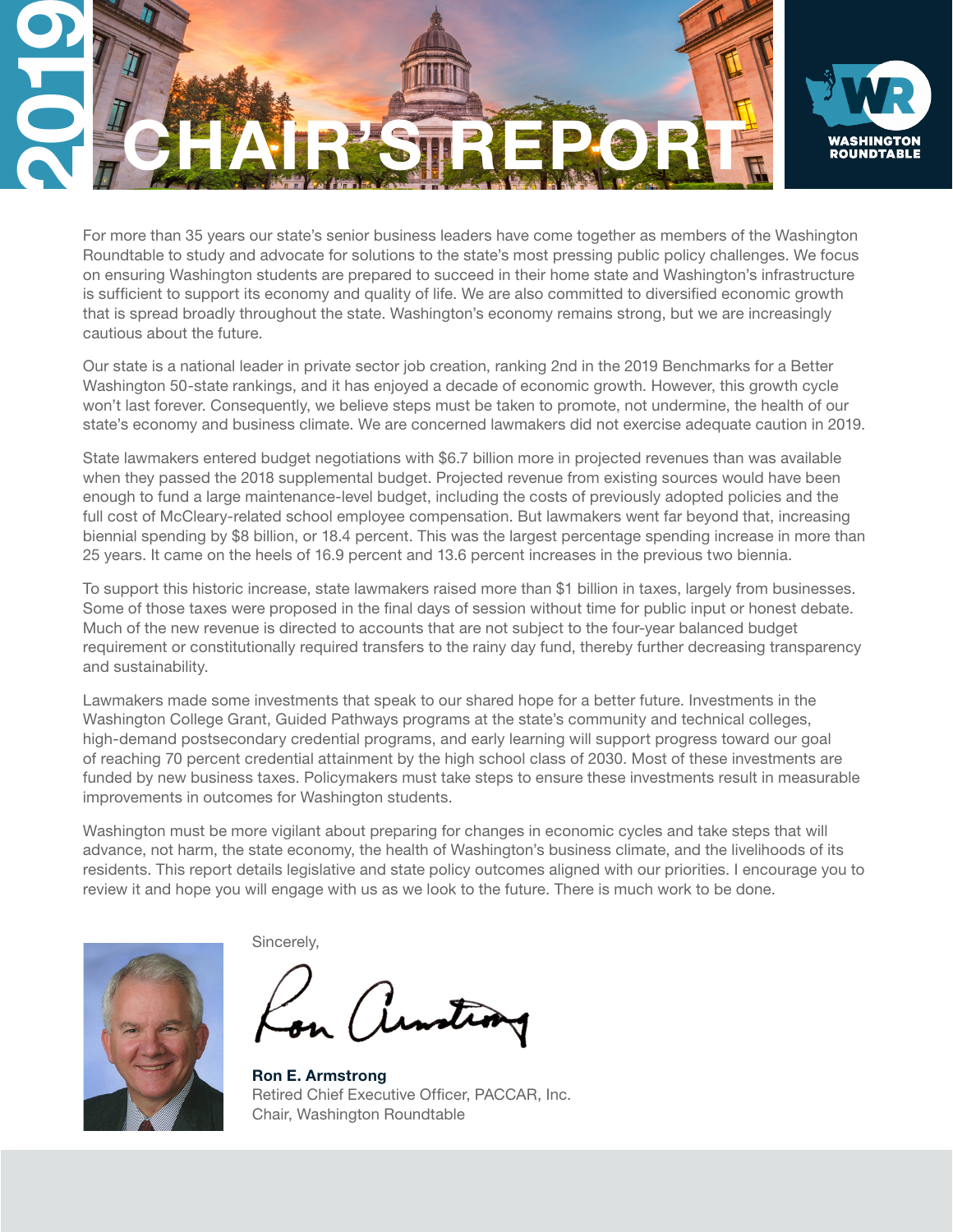

For more than 35 years our state's senior business leaders have come together as members of the Washington Roundtable to study and advocate for solutions to the state's most pressing public policy challenges. We focus on ensuring Washington students are prepared to succeed in their home state and Washington's infrastructure is sufficient to support its economy and quality of life. We are also committed to diversified economic growth that is spread broadly throughout the state. Washington's economy remains strong, but we are increasingly cautious about the future.

Our state is a national leader in private sector job creation, ranking 2nd in the 2019 Benchmarks for a Better Washington 50-state rankings, and it has enjoyed a decade of economic growth. However, this growth cycle won't last forever. Consequently, we believe steps must be taken to promote, not undermine, the health of our state's economy and business climate. We are concerned lawmakers did not exercise adequate caution in 2019.

State lawmakers entered budget negotiations with \$6.7 billion more in projected revenues than was available when they passed the 2018 supplemental budget. Projected revenue from existing sources would have been enough to fund a large maintenance-level budget, including the costs of previously adopted policies and the full cost of McCleary-related school employee compensation. But lawmakers went far beyond that, increasing biennial spending by \$8 billion, or 18.4 percent. This was the largest percentage spending increase in more than 25 years. It came on the heels of 16.9 percent and 13.6 percent increases in the previous two biennia.

To support this historic increase, state lawmakers raised more than \$1 billion in taxes, largely from businesses. Some of those taxes were proposed in the final days of session without time for public input or honest debate. Much of the new revenue is directed to accounts that are not subject to the four-year balanced budget requirement or constitutionally required transfers to the rainy day fund, thereby further decreasing transparency and sustainability.

Lawmakers made some investments that speak to our shared hope for a better future. Investments in the Washington College Grant, Guided Pathways programs at the state's community and technical colleges, high-demand postsecondary credential programs, and early learning will support progress toward our goal of reaching 70 percent credential attainment by the high school class of 2030. Most of these investments are funded by new business taxes. Policymakers must take steps to ensure these investments result in measurable improvements in outcomes for Washington students.

Washington must be more vigilant about preparing for changes in economic cycles and take steps that will advance, not harm, the state economy, the health of Washington's business climate, and the livelihoods of its residents. This report details legislative and state policy outcomes aligned with our priorities. I encourage you to review it and hope you will engage with us as we look to the future. There is much work to be done.



Sincerely,

Ron E. Armstrong Retired Chief Executive Officer, PACCAR, Inc. Chair, Washington Roundtable